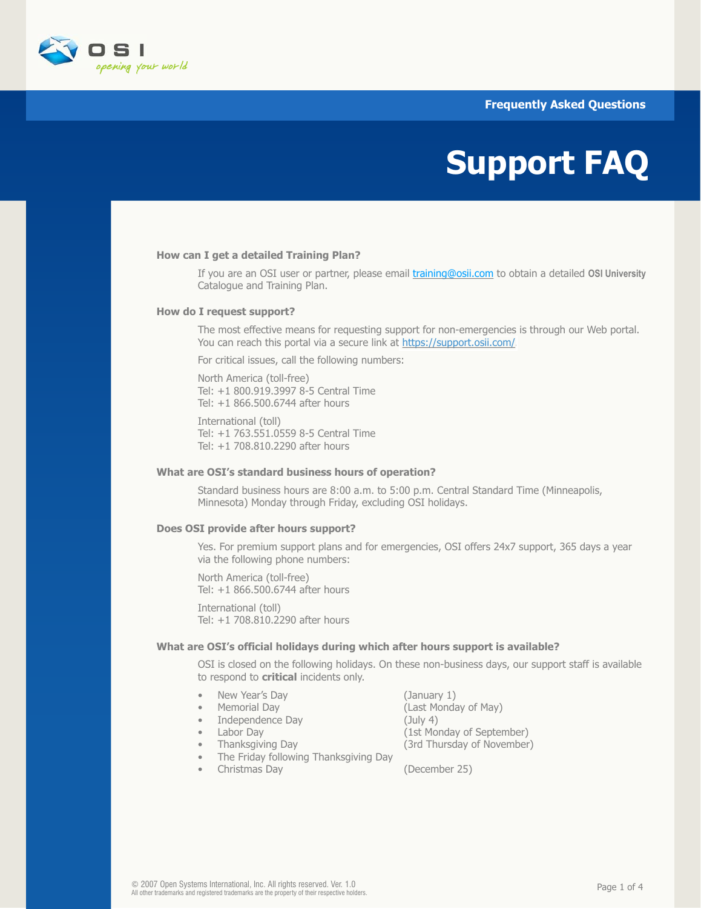# **Frequently Asked Questions**



# **Support FAQ**

## **How can I get a detailed Training Plan?**

 If you are an OSI user or partner, please email [training@osii.com](mailto:training@osii.com) to obtain a detailed **OSI University** Catalogue and Training Plan.

#### **How do I request support?**

 The most effective means for requesting support for non-emergencies is through our Web portal. You can reach this portal via a secure link at [https://support.osii.com/.](http://www.osii.com/services/support/index.asp)

For critical issues, call the following numbers:

 North America (toll-free) Tel: +1 800.919.3997 8-5 Central Time Tel: +1 866.500.6744 after hours

 International (toll) Tel: +1 763.551.0559 8-5 Central Time Tel: +1 708.810.2290 after hours

## **What are OSI's standard business hours of operation?**

 Standard business hours are 8:00 a.m. to 5:00 p.m. Central Standard Time (Minneapolis, Minnesota) Monday through Friday, excluding OSI holidays.

#### **Does OSI provide after hours support?**

 Yes. For premium support plans and for emergencies, OSI offers 24x7 support, 365 days a year via the following phone numbers:

 North America (toll-free) Tel: +1 866.500.6744 after hours

 International (toll) Tel: +1 708.810.2290 after hours

### **What are OSI's official holidays during which after hours support is available?**

 OSI is closed on the following holidays. On these non-business days, our support staff is available to respond to **critical** incidents only.

- New Year's Day (January 1)
- 
- Independence Day (July 4)
- 
- 
- The Friday following Thanksgiving Day
	- Christmas Day (December 25)

 • Memorial Day (Last Monday of May) • Labor Day (1st Monday of September) • Thanksgiving Day (3rd Thursday of November)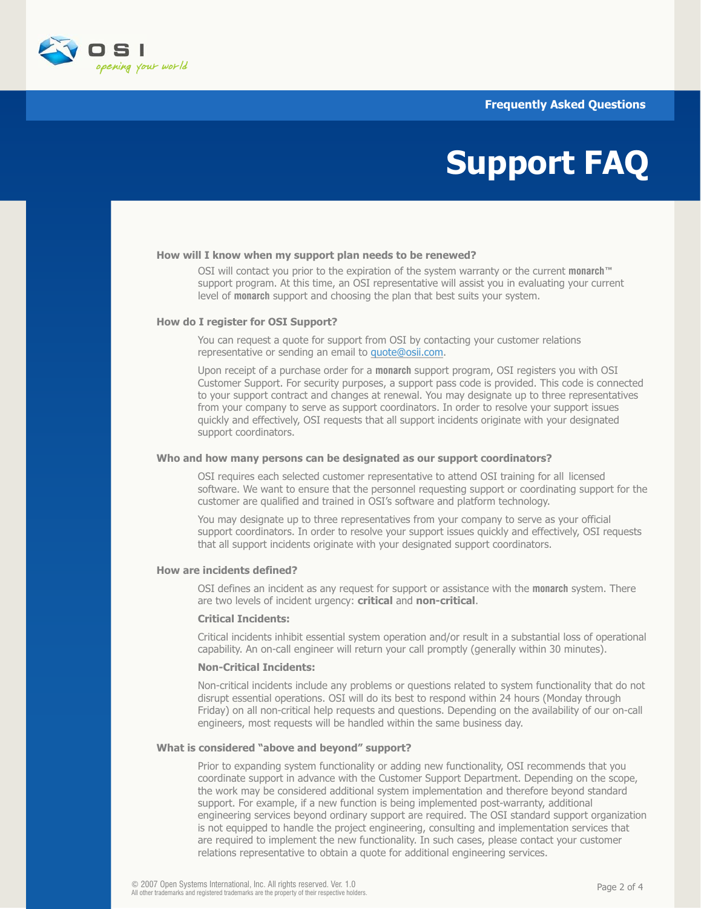**Frequently Asked Questions**



# **Support FAQ**

### **How will I know when my support plan needs to be renewed?**

 OSI will contact you prior to the expiration of the system warranty or the current **monarch™** support program. At this time, an OSI representative will assist you in evaluating your current level of **monarch** support and choosing the plan that best suits your system.

## **How do I register for OSI Support?**

 You can request a quote for support from OSI by contacting your customer relations representative or sending an email to [quote@osii.com.](mailto:quote@osii.com)

 Upon receipt of a purchase order for a **monarch** support program, OSI registers you with OSI Customer Support. For security purposes, a support pass code is provided. This code is connected to your support contract and changes at renewal. You may designate up to three representatives from your company to serve as support coordinators. In order to resolve your support issues quickly and effectively, OSI requests that all support incidents originate with your designated support coordinators.

## **Who and how many persons can be designated as our support coordinators?**

 OSI requires each selected customer representative to attend OSI training for all licensed software. We want to ensure that the personnel requesting support or coordinating support for the customer are qualified and trained in OSI's software and platform technology.

 You may designate up to three representatives from your company to serve as your official support coordinators. In order to resolve your support issues quickly and effectively, OSI requests that all support incidents originate with your designated support coordinators.

## **How are incidents defined?**

 OSI defines an incident as any request for support or assistance with the **monarch** system. There are two levels of incident urgency: **critical** and **non-critical**.

#### **Critical Incidents:**

 Critical incidents inhibit essential system operation and/or result in a substantial loss of operational capability. An on-call engineer will return your call promptly (generally within 30 minutes).

# **Non-Critical Incidents:**

 Non-critical incidents include any problems or questions related to system functionality that do not disrupt essential operations. OSI will do its best to respond within 24 hours (Monday through Friday) on all non-critical help requests and questions. Depending on the availability of our on-call engineers, most requests will be handled within the same business day.

#### **What is considered "above and beyond" support?**

 Prior to expanding system functionality or adding new functionality, OSI recommends that you coordinate support in advance with the Customer Support Department. Depending on the scope, the work may be considered additional system implementation and therefore beyond standard support. For example, if a new function is being implemented post-warranty, additional engineering services beyond ordinary support are required. The OSI standard support organization is not equipped to handle the project engineering, consulting and implementation services that are required to implement the new functionality. In such cases, please contact your customer relations representative to obtain a quote for additional engineering services.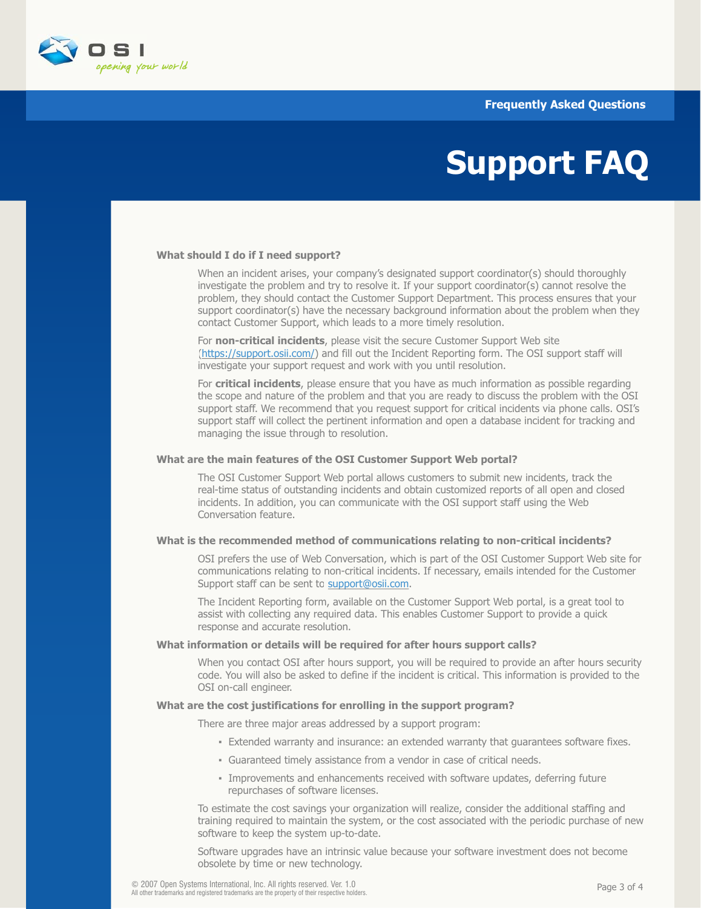

# **Support FAQ**

## **What should I do if I need support?**

When an incident arises, your company's designated support coordinator(s) should thoroughly investigate the problem and try to resolve it. If your support coordinator(s) cannot resolve the problem, they should contact the Customer Support Department. This process ensures that your support coordinator(s) have the necessary background information about the problem when they contact Customer Support, which leads to a more timely resolution.

 For **non-critical incidents**, please visit the secure Customer Support Web site [\(https://support.osii.com/\)](http://www.osii.com/services/support/index.asp) and fill out the Incident Reporting form. The OSI support staff will investigate your support request and work with you until resolution.

 For **critical incidents**, please ensure that you have as much information as possible regarding the scope and nature of the problem and that you are ready to discuss the problem with the OSI support staff. We recommend that you request support for critical incidents via phone calls. OSI's support staff will collect the pertinent information and open a database incident for tracking and managing the issue through to resolution.

#### **What are the main features of the OSI Customer Support Web portal?**

 The OSI Customer Support Web portal allows customers to submit new incidents, track the real-time status of outstanding incidents and obtain customized reports of all open and closed incidents. In addition, you can communicate with the OSI support staff using the Web Conversation feature.

## **What is the recommended method of communications relating to non-critical incidents?**

 OSI prefers the use of Web Conversation, which is part of the OSI Customer Support Web site for communications relating to non-critical incidents. If necessary, emails intended for the Customer Support staff can be sent t[o support@osii.com.](mailto:support@osii.com)

 The Incident Reporting form, available on the Customer Support Web portal, is a great tool to assist with collecting any required data. This enables Customer Support to provide a quick response and accurate resolution.

#### **What information or details will be required for after hours support calls?**

 When you contact OSI after hours support, you will be required to provide an after hours security code. You will also be asked to define if the incident is critical. This information is provided to the OSI on-call engineer.

## **What are the cost justifications for enrolling in the support program?**

There are three major areas addressed by a support program:

- **Extended warranty and insurance: an extended warranty that quarantees software fixes.**
- Guaranteed timely assistance from a vendor in case of critical needs.
- Improvements and enhancements received with software updates, deferring future repurchases of software licenses.

 To estimate the cost savings your organization will realize, consider the additional staffing and training required to maintain the system, or the cost associated with the periodic purchase of new software to keep the system up-to-date.

 Software upgrades have an intrinsic value because your software investment does not become obsolete by time or new technology.